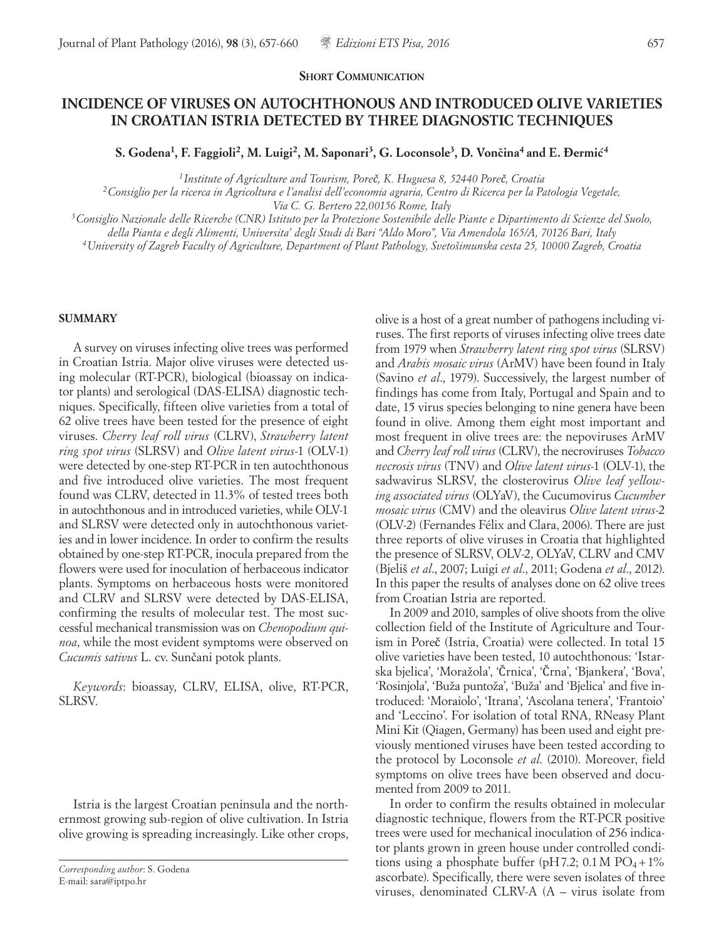## **INCIDENCE OF VIRUSES ON AUTOCHTHONOUS AND INTRODUCED OLIVE VARIETIES IN CROATIAN ISTRIA DETECTED BY THREE DIAGNOSTIC TECHNIQUES**

S. Godena<sup>1</sup>, F. Faggioli<sup>2</sup>, M. Luigi<sup>2</sup>, M. Saponari<sup>3</sup>, G. Loconsole<sup>3</sup>, D. Vončina<sup>4</sup> and E. Đermić<sup>4</sup>

*<sup>1</sup> Institute of Agriculture and Tourism, Poreč, K. Huguesa 8, 52440 Poreč, Croatia*

*2Consiglio per la ricerca in Agricoltura e l'analisi dell'economia agraria, Centro di Ricerca per la Patologia Vegetale,* 

*Via C. G. Bertero 22,00156 Rome, Italy*

*3Consiglio Nazionale delle Ricerche (CNR) Istituto per la Protezione Sostenibile delle Piante e Dipartimento di Scienze del Suolo,* 

*della Pianta e degli Alimenti, Universita' degli Studi di Bari "Aldo Moro", Via Amendola 165/A, 70126 Bari, Italy*

*4University of Zagreb Faculty of Agriculture, Department of Plant Pathology, Svetošimunska cesta 25, 10000 Zagreb, Croatia*

## **SUMMARY**

A survey on viruses infecting olive trees was performed in Croatian Istria. Major olive viruses were detected using molecular (RT-PCR), biological (bioassay on indicator plants) and serological (DAS-ELISA) diagnostic techniques. Specifically, fifteen olive varieties from a total of 62 olive trees have been tested for the presence of eight viruses. *Cherry leaf roll virus* (CLRV), *Strawberry latent ring spot virus* (SLRSV) and *Olive latent virus*-1 (OLV-1) were detected by one-step RT-PCR in ten autochthonous and five introduced olive varieties. The most frequent found was CLRV, detected in 11.3% of tested trees both in autochthonous and in introduced varieties, while OLV-1 and SLRSV were detected only in autochthonous varieties and in lower incidence. In order to confirm the results obtained by one-step RT-PCR, inocula prepared from the flowers were used for inoculation of herbaceous indicator plants. Symptoms on herbaceous hosts were monitored and CLRV and SLRSV were detected by DAS-ELISA, confirming the results of molecular test. The most successful mechanical transmission was on *Chenopodium quinoa*, while the most evident symptoms were observed on *Cucumis sativus* L. cv. Sunčani potok plants.

*Keywords*: bioassay, CLRV, ELISA, olive, RT-PCR, SLRSV.

Istria is the largest Croatian peninsula and the northernmost growing sub-region of olive cultivation. In Istria olive growing is spreading increasingly. Like other crops,

olive is a host of a great number of pathogens including viruses. The first reports of viruses infecting olive trees date from 1979 when *Strawberry latent ring spot virus* (SLRSV) and *Arabis mosaic virus* (ArMV) have been found in Italy (Savino *et al*., 1979). Successively, the largest number of findings has come from Italy, Portugal and Spain and to date, 15 virus species belonging to nine genera have been found in olive. Among them eight most important and most frequent in olive trees are: the nepoviruses ArMV and *Cherry leaf roll virus* (CLRV), the necroviruses *Tobacco necrosis virus* (TNV) and *Olive latent virus-*1 (OLV-1), the sadwavirus SLRSV, the closterovirus *Olive leaf yellowing associated virus* (OLYaV), the Cucumovirus *Cucumber mosaic virus* (CMV) and the oleavirus *Olive latent virus-*2 (OLV-2) (Fernandes Félix and Clara, 2006). There are just three reports of olive viruses in Croatia that highlighted the presence of SLRSV, OLV-2, OLYaV, CLRV and CMV (Bjeliš *et al*., 2007; Luigi *et al*., 2011; Godena *et al*., 2012). In this paper the results of analyses done on 62 olive trees from Croatian Istria are reported.

In 2009 and 2010, samples of olive shoots from the olive collection field of the Institute of Agriculture and Tourism in Poreč (Istria, Croatia) were collected. In total 15 olive varieties have been tested, 10 autochthonous: 'Istarska bjelica', 'Moražola', 'Črnica', 'Črna', 'Bjankera', 'Bova', 'Rosinjola', 'Buža puntoža', 'Buža' and 'Bjelica' and five introduced: 'Moraiolo', 'Itrana', 'Ascolana tenera', 'Frantoio' and 'Leccino'. For isolation of total RNA, RNeasy Plant Mini Kit (Qiagen, Germany) has been used and eight previously mentioned viruses have been tested according to the protocol by Loconsole *et al*. (2010). Moreover, field symptoms on olive trees have been observed and documented from 2009 to 2011.

In order to confirm the results obtained in molecular diagnostic technique, flowers from the RT-PCR positive trees were used for mechanical inoculation of 256 indicator plants grown in green house under controlled conditions using a phosphate buffer (pH7.2;  $0.1 M PO<sub>4</sub>+1%$ ascorbate). Specifically, there were seven isolates of three viruses, denominated CLRV-A (A – virus isolate from

*Corresponding author*: S. Godena E-mail: sara@iptpo.hr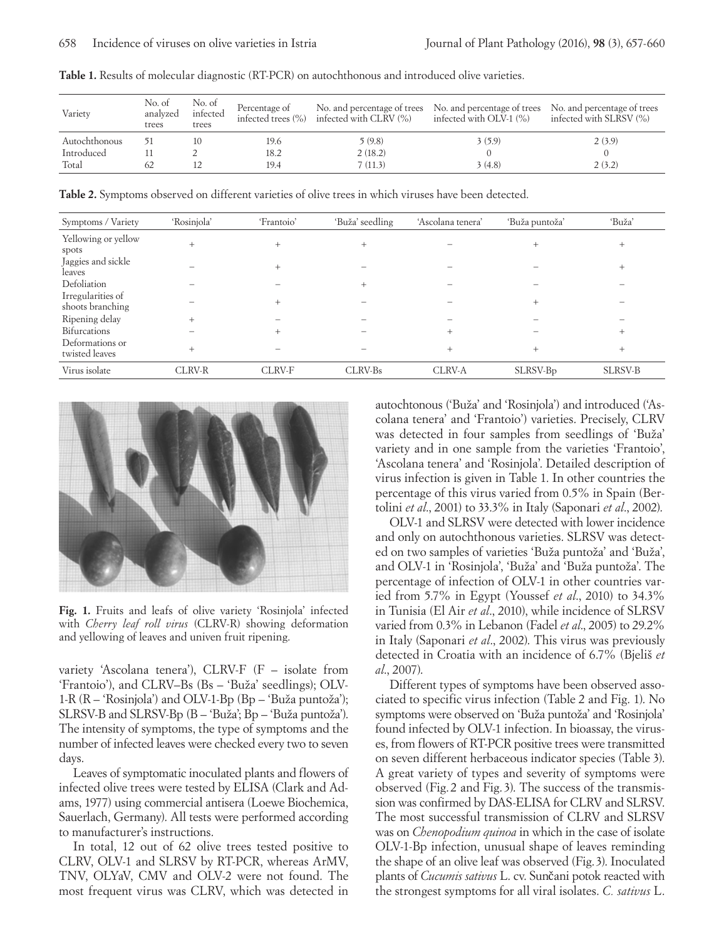| Variety       | No. of<br>analyzed<br>trees | No. of<br>infected<br>trees | Percentage of | infected trees $(\%)$ infected with CLRV $(\%)$ | No. and percentage of trees No. and percentage of trees<br>infected with OLV-1 $(\%)$ | No. and percentage of trees<br>infected with SLRSV (%) |
|---------------|-----------------------------|-----------------------------|---------------|-------------------------------------------------|---------------------------------------------------------------------------------------|--------------------------------------------------------|
| Autochthonous |                             |                             | 19.6          | 5 (9.8)                                         | 3(5.9)                                                                                | 2(3.9)                                                 |
| Introduced    |                             |                             | 18.2          | 2(18.2)                                         |                                                                                       |                                                        |
| Total         | 62                          |                             | 19.4          | 7(11.3)                                         | 3(4.8)                                                                                | 2(3.2)                                                 |

**Table 1.** Results of molecular diagnostic (RT-PCR) on autochthonous and introduced olive varieties.

**Table 2.** Symptoms observed on different varieties of olive trees in which viruses have been detected.

| Symptoms / Variety                    | 'Rosinjola'   | 'Frantoio' | 'Buža' seedling | 'Ascolana tenera' | 'Buža puntoža'       | 'Buža'         |
|---------------------------------------|---------------|------------|-----------------|-------------------|----------------------|----------------|
|                                       |               |            |                 |                   |                      |                |
| Yellowing or yellow<br>spots          | $+$           | $^{+}$     | $^{+}$          |                   | $^{+}$               | $+$            |
| Jaggies and sickle<br>leaves          |               | $+$        |                 |                   |                      | $+$            |
| Defoliation                           |               |            | $^{+}$          |                   |                      |                |
| Irregularities of<br>shoots branching |               | $^{+}$     |                 |                   | $^{+}$               |                |
| Ripening delay                        | $^{+}$        |            |                 |                   |                      |                |
| Bifurcations                          |               | $^{+}$     |                 | $^{+}$            |                      | $^{+}$         |
| Deformations or<br>twisted leaves     | $^{+}$        |            |                 | $^{+}$            | $^{+}$               | $+$            |
| Virus isolate                         | <b>CLRV-R</b> | CLRV-F     | CLRV-Bs         | CLRV-A            | SLRSV-B <sub>p</sub> | <b>SLRSV-B</b> |



**Fig. 1.** Fruits and leafs of olive variety 'Rosinjola' infected with *Cherry leaf roll virus* (CLRV-R) showing deformation and yellowing of leaves and univen fruit ripening.

variety 'Ascolana tenera'), CLRV-F (F – isolate from 'Frantoio'), and CLRV–Bs (Bs – 'Buža' seedlings); OLV-1-R (R – 'Rosinjola') and OLV-1-Bp (Bp – 'Buža puntoža'); SLRSV-B and SLRSV-Bp (B – 'Buža'; Bp – 'Buža puntoža'). The intensity of symptoms, the type of symptoms and the number of infected leaves were checked every two to seven days.

Leaves of symptomatic inoculated plants and flowers of infected olive trees were tested by ELISA (Clark and Adams, 1977) using commercial antisera (Loewe Biochemica, Sauerlach, Germany). All tests were performed according to manufacturer's instructions.

In total, 12 out of 62 olive trees tested positive to CLRV, OLV-1 and SLRSV by RT-PCR, whereas ArMV, TNV, OLYaV, CMV and OLV-2 were not found. The most frequent virus was CLRV, which was detected in autochtonous ('Buža' and 'Rosinjola') and introduced ('Ascolana tenera' and 'Frantoio') varieties. Precisely, CLRV was detected in four samples from seedlings of 'Buža' variety and in one sample from the varieties 'Frantoio', 'Ascolana tenera' and 'Rosinjola'. Detailed description of virus infection is given in Table 1. In other countries the percentage of this virus varied from 0.5% in Spain (Bertolini *et al*., 2001) to 33.3% in Italy (Saponari *et al*., 2002).

OLV-1 and SLRSV were detected with lower incidence and only on autochthonous varieties. SLRSV was detected on two samples of varieties 'Buža puntoža' and 'Buža', and OLV-1 in 'Rosinjola', 'Buža' and 'Buža puntoža'. The percentage of infection of OLV-1 in other countries varied from 5.7% in Egypt (Youssef *et al*., 2010) to 34.3% in Tunisia (El Air *et al*., 2010), while incidence of SLRSV varied from 0.3% in Lebanon (Fadel *et al*., 2005) to 29.2% in Italy (Saponari *et al*., 2002). This virus was previously detected in Croatia with an incidence of 6.7% (Bjeliš *et al*., 2007).

Different types of symptoms have been observed associated to specific virus infection (Table 2 and Fig. 1). No symptoms were observed on 'Buža puntoža' and 'Rosinjola' found infected by OLV-1 infection. In bioassay, the viruses, from flowers of RT-PCR positive trees were transmitted on seven different herbaceous indicator species (Table 3). A great variety of types and severity of symptoms were observed (Fig. 2 and Fig. 3). The success of the transmission was confirmed by DAS-ELISA for CLRV and SLRSV. The most successful transmission of CLRV and SLRSV was on *Chenopodium quinoa* in which in the case of isolate OLV-1-Bp infection, unusual shape of leaves reminding the shape of an olive leaf was observed (Fig.3). Inoculated plants of *Cucumis sativus* L. cv. Sunčani potok reacted with the strongest symptoms for all viral isolates. *C. sativus* L.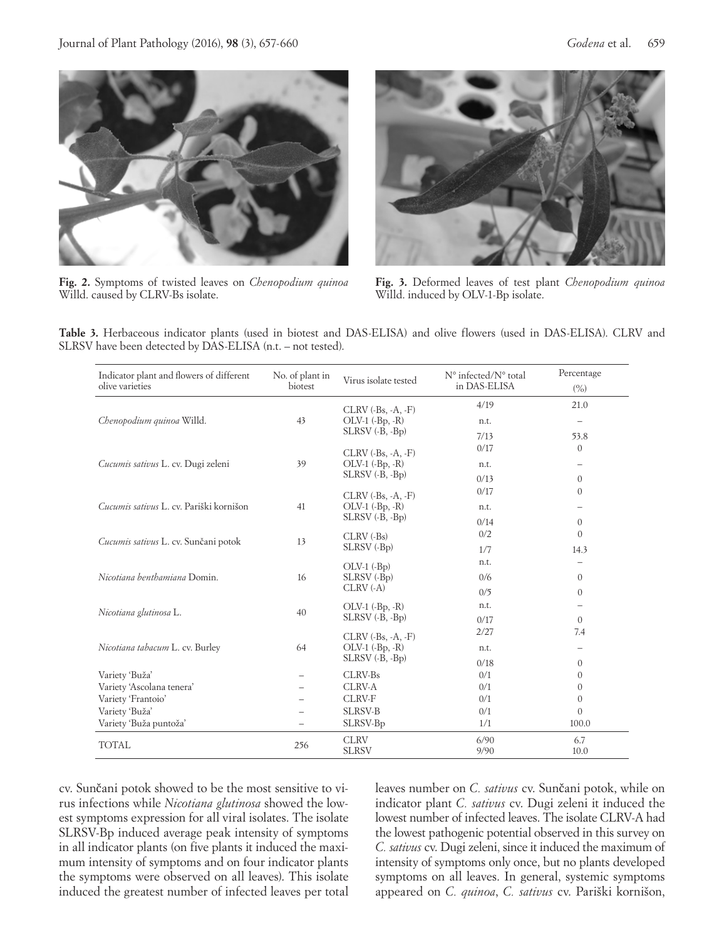

**Fig. 2.** Symptoms of twisted leaves on *Chenopodium quinoa*  Willd. caused by CLRV-Bs isolate.



**Fig. 3.** Deformed leaves of test plant *Chenopodium quinoa*  Willd. induced by OLV-1-Bp isolate.

**Table 3.** Herbaceous indicator plants (used in biotest and DAS-ELISA) and olive flowers (used in DAS-ELISA). CLRV and SLRSV have been detected by DAS-ELISA (n.t. – not tested).

| Indicator plant and flowers of different<br>olive varieties | No. of plant in<br>biotest | Virus isolate tested                                    | N° infected/N° total<br>in DAS-ELISA | Percentage<br>(%)        |  |
|-------------------------------------------------------------|----------------------------|---------------------------------------------------------|--------------------------------------|--------------------------|--|
|                                                             |                            | $CLRV$ ( $-Bs, -A, -F$ )                                | 4/19                                 | 21.0                     |  |
| Chenopodium quinoa Willd.                                   | 43                         | $OLV-1$ $(-Bp, -R)$                                     | n.t.                                 | $\overline{\phantom{0}}$ |  |
|                                                             |                            | $SLRSV$ $(B, -Bp)$                                      | 7/13                                 | 53.8                     |  |
|                                                             | 39                         | $CLRV$ ( $-Bs, -A, -F$ )                                | 0/17                                 | $\mathbf{0}$             |  |
| Cucumis sativus L. cv. Dugi zeleni                          |                            | $OLV-1$ $(-Bp, -R)$                                     | n.t.                                 |                          |  |
|                                                             |                            | $SLRSV$ $(B, -Bp)$                                      | 0/13                                 | $\theta$                 |  |
|                                                             |                            | $CLRV$ ( $-Bs, -A, -F$ )                                | 0/17                                 | $\mathbf{0}$             |  |
| Cucumis sativus L. cv. Pariški kornišon                     | 41                         | $OLV-1$ $(-Bp, -R)$                                     | n.t.                                 |                          |  |
|                                                             |                            | $SLRSV$ $(B, -Bp)$                                      | 0/14                                 | $\theta$                 |  |
|                                                             | 13                         | CLRV (-Bs)                                              | 0/2                                  | $\Omega$                 |  |
| Cucumis sativus L. cv. Sunčani potok                        |                            | SLRSV (-B <sub>p</sub> )                                | 1/7                                  | 14.3                     |  |
|                                                             | 16                         | $OLV-1$ $(-BD)$<br>SLRSV (-B <sub>p</sub> )<br>CLRV(.A) | n.t.                                 |                          |  |
| Nicotiana benthamiana Domin.                                |                            |                                                         | 0/6                                  | $\Omega$                 |  |
|                                                             |                            |                                                         | 0/5                                  | $\theta$                 |  |
|                                                             | 40                         | $OLV-1$ $(-Bp, -R)$                                     | n.t.                                 |                          |  |
| Nicotiana glutinosa L.                                      |                            | $SLRSV$ $(B, -Bp)$                                      | 0/17                                 | $\Omega$                 |  |
|                                                             | 64                         | $CLRV$ ( $-Bs, -A, -F$ )                                | 2/27                                 | 7.4                      |  |
| Nicotiana tabacum L. cv. Burley                             |                            | $OLV-1$ $(-Bp, -R)$                                     | n.t.                                 |                          |  |
|                                                             |                            | SLRSV (-B, -Bp)                                         | 0/18                                 | $\theta$                 |  |
| Variety 'Buža'                                              |                            | CLRV-Bs                                                 | 0/1                                  | 0                        |  |
| Variety 'Ascolana tenera'                                   |                            | <b>CLRV-A</b>                                           | 0/1                                  | 0                        |  |
| Variety 'Frantoio'                                          |                            | <b>CLRV-F</b>                                           | 0/1                                  | $\mathbf{0}$             |  |
| Variety 'Buža'                                              |                            | <b>SLRSV-B</b>                                          | 0/1                                  | $\Omega$                 |  |
| Variety 'Buža puntoža'                                      |                            | SLRSV-B <sub>p</sub>                                    | 1/1                                  | 100.0                    |  |
| <b>TOTAL</b>                                                | 256                        | <b>CLRV</b><br><b>SLRSV</b>                             | 6/90<br>9/90                         | 6.7<br>10.0              |  |

cv. Sunčani potok showed to be the most sensitive to virus infections while *Nicotiana glutinosa* showed the lowest symptoms expression for all viral isolates. The isolate SLRSV-Bp induced average peak intensity of symptoms in all indicator plants (on five plants it induced the maximum intensity of symptoms and on four indicator plants the symptoms were observed on all leaves). This isolate induced the greatest number of infected leaves per total leaves number on *C. sativus* cv. Sunčani potok, while on indicator plant *C. sativus* cv. Dugi zeleni it induced the lowest number of infected leaves. The isolate CLRV-A had the lowest pathogenic potential observed in this survey on *C. sativus* cv. Dugi zeleni, since it induced the maximum of intensity of symptoms only once, but no plants developed symptoms on all leaves. In general, systemic symptoms appeared on *C. quinoa*, *C. sativus* cv. Pariški kornišon,